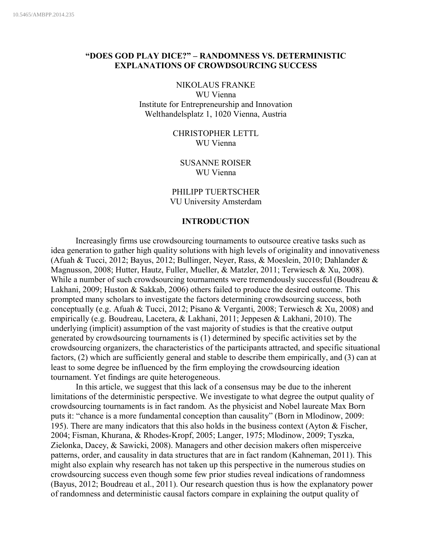# **"DOES GOD PLAY DICE?" – RANDOMNESS VS. DETERMINISTIC EXPLANATIONS OF CROWDSOURCING SUCCESS**

#### NIKOLAUS FRANKE

WU Vienna Institute for Entrepreneurship and Innovation Welthandelsplatz 1, 1020 Vienna, Austria

> CHRISTOPHER LETTL WU Vienna

SUSANNE ROISER WU Vienna

PHILIPP TUERTSCHER VU University Amsterdam

# **INTRODUCTION**

Increasingly firms use crowdsourcing tournaments to outsource creative tasks such as idea generation to gather high quality solutions with high levels of originality and innovativeness (Afuah & Tucci, 2012; Bayus, 2012; Bullinger, Neyer, Rass, & Moeslein, 2010; Dahlander & Magnusson, 2008; Hutter, Hautz, Fuller, Mueller, & Matzler, 2011; Terwiesch & Xu, 2008). While a number of such crowdsourcing tournaments were tremendously successful (Boudreau & Lakhani, 2009; Huston & Sakkab, 2006) others failed to produce the desired outcome. This prompted many scholars to investigate the factors determining crowdsourcing success, both conceptually (e.g. Afuah & Tucci, 2012; Pisano & Verganti, 2008; Terwiesch & Xu, 2008) and empirically (e.g. Boudreau, Lacetera, & Lakhani, 2011; Jeppesen & Lakhani, 2010). The underlying (implicit) assumption of the vast majority of studies is that the creative output generated by crowdsourcing tournaments is (1) determined by specific activities set by the crowdsourcing organizers, the characteristics of the participants attracted, and specific situational factors, (2) which are sufficiently general and stable to describe them empirically, and (3) can at least to some degree be influenced by the firm employing the crowdsourcing ideation tournament. Yet findings are quite heterogeneous.

In this article, we suggest that this lack of a consensus may be due to the inherent limitations of the deterministic perspective. We investigate to what degree the output quality of crowdsourcing tournaments is in fact random. As the physicist and Nobel laureate Max Born puts it: "chance is a more fundamental conception than causality" (Born in Mlodinow, 2009: 195). There are many indicators that this also holds in the business context (Ayton & Fischer, 2004; Fisman, Khurana, & Rhodes-Kropf, 2005; Langer, 1975; Mlodinow, 2009; Tyszka, Zielonka, Dacey, & Sawicki, 2008). Managers and other decision makers often misperceive patterns, order, and causality in data structures that are in fact random (Kahneman, 2011). This might also explain why research has not taken up this perspective in the numerous studies on crowdsourcing success even though some few prior studies reveal indications of randomness (Bayus, 2012; Boudreau et al., 2011). Our research question thus is how the explanatory power of randomness and deterministic causal factors compare in explaining the output quality of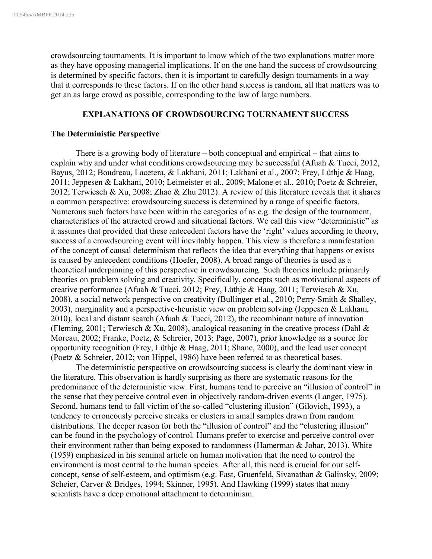crowdsourcing tournaments. It is important to know which of the two explanations matter more as they have opposing managerial implications. If on the one hand the success of crowdsourcing is determined by specific factors, then it is important to carefully design tournaments in a way that it corresponds to these factors. If on the other hand success is random, all that matters was to get an as large crowd as possible, corresponding to the law of large numbers.

## **EXPLANATIONS OF CROWDSOURCING TOURNAMENT SUCCESS**

#### **The Deterministic Perspective**

There is a growing body of literature – both conceptual and empirical – that aims to explain why and under what conditions crowdsourcing may be successful (Afuah & Tucci, 2012, Bayus, 2012; Boudreau, Lacetera, & Lakhani, 2011; Lakhani et al., 2007; Frey, Lüthje & Haag, 2011; Jeppesen & Lakhani, 2010; Leimeister et al., 2009; Malone et al., 2010; Poetz & Schreier, 2012; Terwiesch & Xu, 2008; Zhao & Zhu 2012). A review of this literature reveals that it shares a common perspective: crowdsourcing success is determined by a range of specific factors. Numerous such factors have been within the categories of as e.g. the design of the tournament, characteristics of the attracted crowd and situational factors. We call this view "deterministic" as it assumes that provided that these antecedent factors have the 'right' values according to theory, success of a crowdsourcing event will inevitably happen. This view is therefore a manifestation of the concept of causal determinism that reflects the idea that everything that happens or exists is caused by antecedent conditions (Hoefer, 2008). A broad range of theories is used as a theoretical underpinning of this perspective in crowdsourcing. Such theories include primarily theories on problem solving and creativity. Specifically, concepts such as motivational aspects of creative performance (Afuah & Tucci, 2012; Frey, Lüthje & Haag, 2011; Terwiesch & Xu, 2008), a social network perspective on creativity (Bullinger et al., 2010; Perry-Smith & Shalley, 2003), marginality and a perspective-heuristic view on problem solving (Jeppesen & Lakhani, 2010), local and distant search (Afuah & Tucci, 2012), the recombinant nature of innovation (Fleming, 2001; Terwiesch & Xu, 2008), analogical reasoning in the creative process (Dahl  $\&$ Moreau, 2002; Franke, Poetz, & Schreier, 2013; Page, 2007), prior knowledge as a source for opportunity recognition (Frey, Lüthje & Haag, 2011; Shane, 2000), and the lead user concept (Poetz & Schreier, 2012; von Hippel, 1986) have been referred to as theoretical bases.

The deterministic perspective on crowdsourcing success is clearly the dominant view in the literature. This observation is hardly surprising as there are systematic reasons for the predominance of the deterministic view. First, humans tend to perceive an "illusion of control" in the sense that they perceive control even in objectively random-driven events (Langer, 1975). Second, humans tend to fall victim of the so-called "clustering illusion" (Gilovich, 1993), a tendency to erroneously perceive streaks or clusters in small samples drawn from random distributions. The deeper reason for both the "illusion of control" and the "clustering illusion" can be found in the psychology of control. Humans prefer to exercise and perceive control over their environment rather than being exposed to randomness (Hamerman & Johar, 2013). White (1959) emphasized in his seminal article on human motivation that the need to control the environment is most central to the human species. After all, this need is crucial for our selfconcept, sense of self-esteem, and optimism (e.g. Fast, Gruenfeld, Sivanathan & Galinsky, 2009; Scheier, Carver & Bridges, 1994; Skinner, 1995). And Hawking (1999) states that many scientists have a deep emotional attachment to determinism.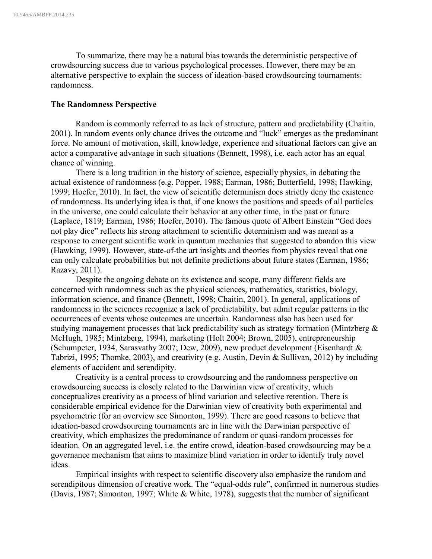To summarize, there may be a natural bias towards the deterministic perspective of crowdsourcing success due to various psychological processes. However, there may be an alternative perspective to explain the success of ideation-based crowdsourcing tournaments: randomness.

### **The Randomness Perspective**

Random is commonly referred to as lack of structure, pattern and predictability (Chaitin, 2001). In random events only chance drives the outcome and "luck" emerges as the predominant force. No amount of motivation, skill, knowledge, experience and situational factors can give an actor a comparative advantage in such situations (Bennett, 1998), i.e. each actor has an equal chance of winning.

There is a long tradition in the history of science, especially physics, in debating the actual existence of randomness (e.g. Popper, 1988; Earman, 1986; Butterfield, 1998; Hawking, 1999; Hoefer, 2010). In fact, the view of scientific determinism does strictly deny the existence of randomness. Its underlying idea is that, if one knows the positions and speeds of all particles in the universe, one could calculate their behavior at any other time, in the past or future (Laplace, 1819; Earman, 1986; Hoefer, 2010). The famous quote of Albert Einstein "God does not play dice" reflects his strong attachment to scientific determinism and was meant as a response to emergent scientific work in quantum mechanics that suggested to abandon this view (Hawking, 1999). However, state-of-the art insights and theories from physics reveal that one can only calculate probabilities but not definite predictions about future states (Earman, 1986; Razavy, 2011).

Despite the ongoing debate on its existence and scope, many different fields are concerned with randomness such as the physical sciences, mathematics, statistics, biology, information science, and finance (Bennett, 1998; Chaitin, 2001). In general, applications of randomness in the sciences recognize a lack of predictability, but admit regular patterns in the occurrences of events whose outcomes are uncertain. Randomness also has been used for studying management processes that lack predictability such as strategy formation (Mintzberg & McHugh, 1985; Mintzberg, 1994), marketing (Holt 2004; Brown, 2005), entrepreneurship (Schumpeter, 1934, Sarasvathy 2007; Dew, 2009), new product development (Eisenhardt & Tabrizi, 1995; Thomke, 2003), and creativity (e.g. Austin, Devin & Sullivan, 2012) by including elements of accident and serendipity.

Creativity is a central process to crowdsourcing and the randomness perspective on crowdsourcing success is closely related to the Darwinian view of creativity, which conceptualizes creativity as a process of blind variation and selective retention. There is considerable empirical evidence for the Darwinian view of creativity both experimental and psychometric (for an overview see Simonton, 1999). There are good reasons to believe that ideation-based crowdsourcing tournaments are in line with the Darwinian perspective of creativity, which emphasizes the predominance of random or quasi-random processes for ideation. On an aggregated level, i.e. the entire crowd, ideation-based crowdsourcing may be a governance mechanism that aims to maximize blind variation in order to identify truly novel ideas.

Empirical insights with respect to scientific discovery also emphasize the random and serendipitous dimension of creative work. The "equal-odds rule", confirmed in numerous studies (Davis, 1987; Simonton, 1997; White & White, 1978), suggests that the number of significant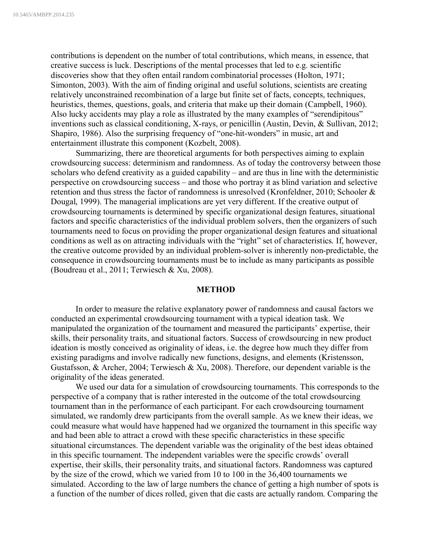contributions is dependent on the number of total contributions, which means, in essence, that creative success is luck. Descriptions of the mental processes that led to e.g. scientific discoveries show that they often entail random combinatorial processes (Holton, 1971; Simonton, 2003). With the aim of finding original and useful solutions, scientists are creating relatively unconstrained recombination of a large but finite set of facts, concepts, techniques, heuristics, themes, questions, goals, and criteria that make up their domain (Campbell, 1960). Also lucky accidents may play a role as illustrated by the many examples of "serendipitous" inventions such as classical conditioning, X-rays, or penicillin (Austin, Devin, & Sullivan, 2012; Shapiro, 1986). Also the surprising frequency of "one-hit-wonders" in music, art and entertainment illustrate this component (Kozbelt, 2008).

Summarizing, there are theoretical arguments for both perspectives aiming to explain crowdsourcing success: determinism and randomness. As of today the controversy between those scholars who defend creativity as a guided capability – and are thus in line with the deterministic perspective on crowdsourcing success – and those who portray it as blind variation and selective retention and thus stress the factor of randomness is unresolved (Kronfeldner, 2010; Schooler & Dougal, 1999). The managerial implications are yet very different. If the creative output of crowdsourcing tournaments is determined by specific organizational design features, situational factors and specific characteristics of the individual problem solvers, then the organizers of such tournaments need to focus on providing the proper organizational design features and situational conditions as well as on attracting individuals with the "right" set of characteristics. If, however, the creative outcome provided by an individual problem-solver is inherently non-predictable, the consequence in crowdsourcing tournaments must be to include as many participants as possible (Boudreau et al., 2011; Terwiesch & Xu, 2008).

#### **METHOD**

In order to measure the relative explanatory power of randomness and causal factors we conducted an experimental crowdsourcing tournament with a typical ideation task. We manipulated the organization of the tournament and measured the participants' expertise, their skills, their personality traits, and situational factors. Success of crowdsourcing in new product ideation is mostly conceived as originality of ideas, i.e. the degree how much they differ from existing paradigms and involve radically new functions, designs, and elements (Kristensson, Gustafsson, & Archer, 2004; Terwiesch & Xu, 2008). Therefore, our dependent variable is the originality of the ideas generated.

We used our data for a simulation of crowdsourcing tournaments. This corresponds to the perspective of a company that is rather interested in the outcome of the total crowdsourcing tournament than in the performance of each participant. For each crowdsourcing tournament simulated, we randomly drew participants from the overall sample. As we knew their ideas, we could measure what would have happened had we organized the tournament in this specific way and had been able to attract a crowd with these specific characteristics in these specific situational circumstances. The dependent variable was the originality of the best ideas obtained in this specific tournament. The independent variables were the specific crowds' overall expertise, their skills, their personality traits, and situational factors. Randomness was captured by the size of the crowd, which we varied from 10 to 100 in the 36,400 tournaments we simulated. According to the law of large numbers the chance of getting a high number of spots is a function of the number of dices rolled, given that die casts are actually random. Comparing the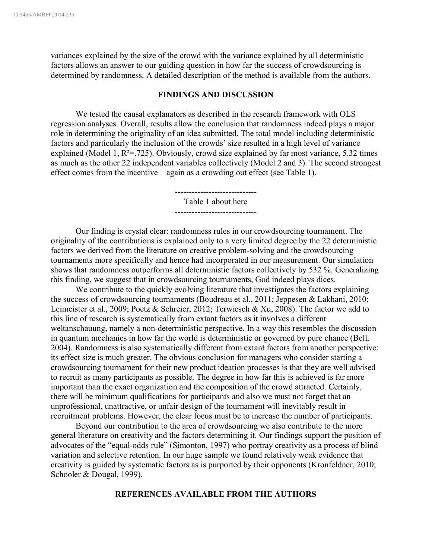variances explained by the size of the crowd with the variance explained by all deterministic factors allows an answer to our guiding question in how far the success of crowdsourcing is determined by randomness. A detailed description of the method is available from the authors.

### **FINDINGS AND DISCUSSION**

We tested the causal explanators as described in the research framework with OLS regression analyses. Overall, results allow the conclusion that randomness indeed plays a major role in determining the originality of an idea submitted. The total model including deterministic factors and particularly the inclusion of the crowds' size resulted in a high level of variance explained (Model 1,  $\mathbb{R}^2$ =.725). Obviously, crowd size explained by far most variance, 5.32 times as much as the other 22 independent variables collectively (Model 2 and 3). The second strongest effect comes from the incentive – again as a crowding out effect (see Table 1).

> ----------------------------- Table 1 about here -----------------------------

Our finding is crystal clear: randomness rules in our crowdsourcing tournament. The originality of the contributions is explained only to a very limited degree by the 22 deterministic factors we derived from the literature on creative problem-solving and the crowdsourcing tournaments more specifically and hence had incorporated in our measurement. Our simulation shows that randomness outperforms all deterministic factors collectively by 532 %. Generalizing this finding, we suggest that in crowdsourcing tournaments, God indeed plays dices.

We contribute to the quickly evolving literature that investigates the factors explaining the success of crowdsourcing tournaments (Boudreau et al., 2011; Jeppesen & Lakhani, 2010; Leimeister et al., 2009; Poetz & Schreier, 2012; Terwiesch & Xu, 2008). The factor we add to this line of research is systematically from extant factors as it involves a different weltanschauung, namely a non-deterministic perspective. In a way this resembles the discussion in quantum mechanics in how far the world is deterministic or governed by pure chance (Bell, 2004). Randomness is also systematically different from extant factors from another perspective: its effect size is much greater. The obvious conclusion for managers who consider starting a crowdsourcing tournament for their new product ideation processes is that they are well advised to recruit as many participants as possible. The degree in how far this is achieved is far more important than the exact organization and the composition of the crowd attracted. Certainly, there will be minimum qualifications for participants and also we must not forget that an unprofessional, unattractive, or unfair design of the tournament will inevitably result in recruitment problems. However, the clear focus must be to increase the number of participants.

Beyond our contribution to the area of crowdsourcing we also contribute to the more general literature on creativity and the factors determining it. Our findings support the position of advocates of the "equal-odds rule" (Simonton, 1997) who portray creativity as a process of blind variation and selective retention. In our huge sample we found relatively weak evidence that creativity is guided by systematic factors as is purported by their opponents (Kronfeldner, 2010; Schooler & Dougal, 1999).

# **REFERENCES AVAILABLE FROM THE AUTHORS**